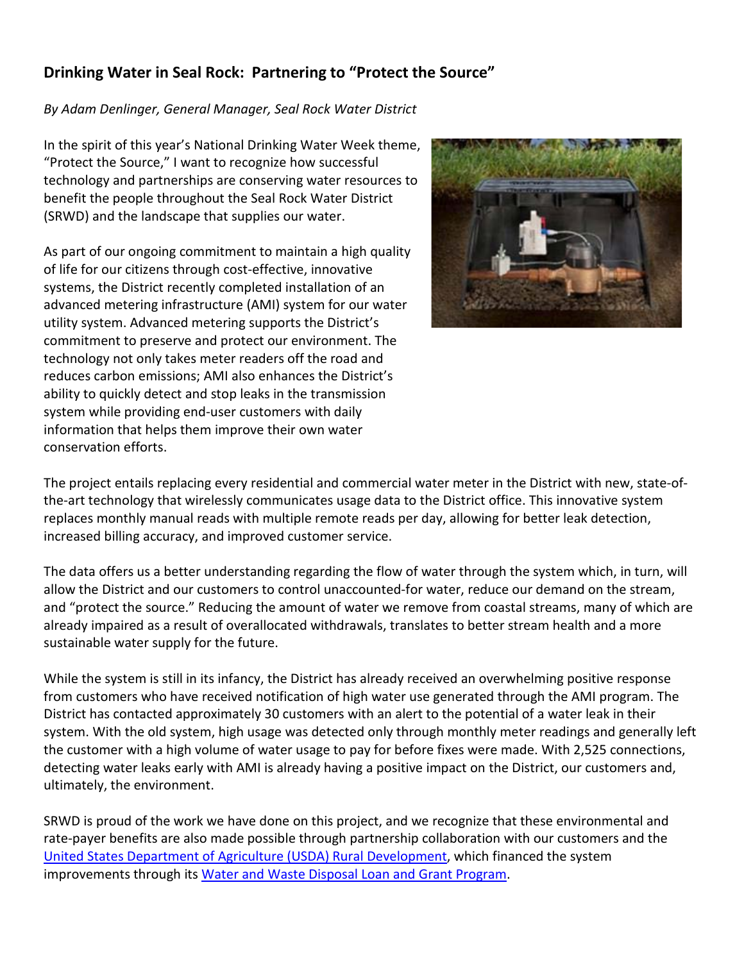## **Drinking Water in Seal Rock: Partnering to "Protect the Source"**

## *By Adam Denlinger, General Manager, Seal Rock Water District*

In the spirit of this year's National Drinking Water Week theme, "Protect the Source," I want to recognize how successful technology and partnerships are conserving water resources to benefit the people throughout the Seal Rock Water District (SRWD) and the landscape that supplies our water.

As part of our ongoing commitment to maintain a high quality of life for our citizens through cost-effective, innovative systems, the District recently completed installation of an advanced metering infrastructure (AMI) system for our water utility system. Advanced metering supports the District's commitment to preserve and protect our environment. The technology not only takes meter readers off the road and reduces carbon emissions; AMI also enhances the District's ability to quickly detect and stop leaks in the transmission system while providing end-user customers with daily information that helps them improve their own water conservation efforts.



The project entails replacing every residential and commercial water meter in the District with new, state-ofthe-art technology that wirelessly communicates usage data to the District office. This innovative system replaces monthly manual reads with multiple remote reads per day, allowing for better leak detection, increased billing accuracy, and improved customer service.

The data offers us a better understanding regarding the flow of water through the system which, in turn, will allow the District and our customers to control unaccounted-for water, reduce our demand on the stream, and "protect the source." Reducing the amount of water we remove from coastal streams, many of which are already impaired as a result of overallocated withdrawals, translates to better stream health and a more sustainable water supply for the future.

While the system is still in its infancy, the District has already received an overwhelming positive response from customers who have received notification of high water use generated through the AMI program. The District has contacted approximately 30 customers with an alert to the potential of a water leak in their system. With the old system, high usage was detected only through monthly meter readings and generally left the customer with a high volume of water usage to pay for before fixes were made. With 2,525 connections, detecting water leaks early with AMI is already having a positive impact on the District, our customers and, ultimately, the environment.

SRWD is proud of the work we have done on this project, and we recognize that these environmental and rate-payer benefits are also made possible through partnership collaboration with our customers and the [United States Department of Agriculture \(USDA\) Rural Development,](https://www.rd.usda.gov/or) which financed the system improvements through its [Water and Waste Disposal Loan and Grant Program.](https://www.rd.usda.gov/programs-services/water-waste-disposal-loan-grant-program/or)